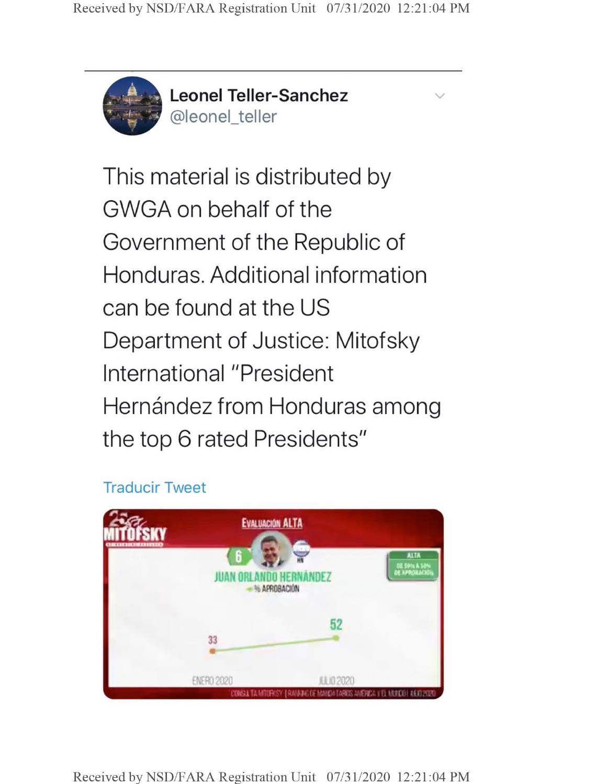

**Leonel Teller-Sanchez** @leonel\_teller

v

This material is distributed by GWGA on behalf of the Government of the Republic of Honduras. Additional information can be found at the US Department of Justice: Mitofsky International "President Hernández from Honduras among the top 6 rated Presidents"

## **Traducir Tweet**



Received by NSD/FARA Registration Unit 07/31/2020 12:21:04 PM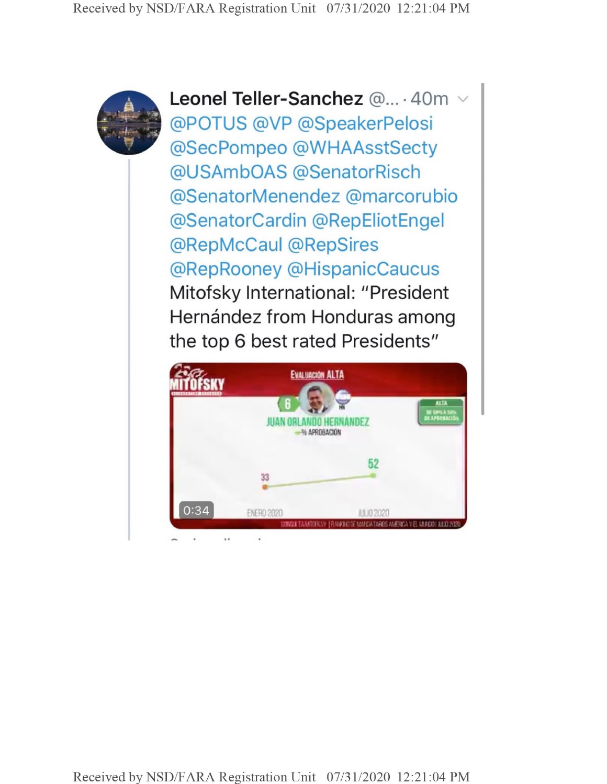

**Leonel Teller-Sanchez** @... • 40m @POTUS @VP @SpeakerPelosi @SecPompeo @WHAAsstSecty @USAmbOAS @SenatorRisch @SenatorMenendez @marcorubio @SenatorCardin @RepEliotEngel @RepMcCaul @RepSires @RepRooney @HispanicCaucus Mitofsky International: "President Hernández from Honduras among the top 6 best rated Presidents"



Received by NSD/FARA Registration Unit 07/31/2020 12:21:04 PM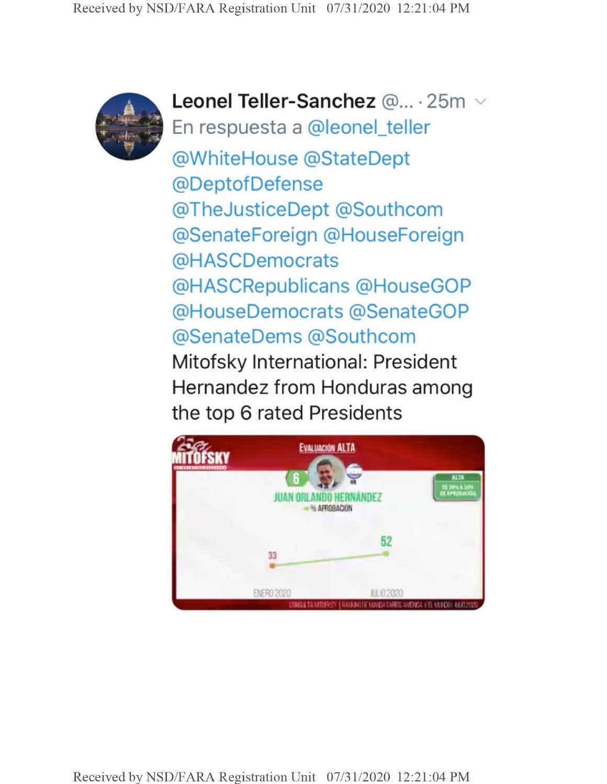

**Leonel Teller-Sanchez** @... • 25m En respuesta a @leonel\_teller @WhiteHouse @StateDept @DeptofDefense @TheJusticeDept @Southcom @SenateForeign @HouseForeign @HASCDemocrats @HASCRepublicans @HouseGOP @HouseDemocrats @SenateGOP @SenateDems @Southcom Mitofsky International: President Hernandez from Honduras among the top 6 rated Presidents